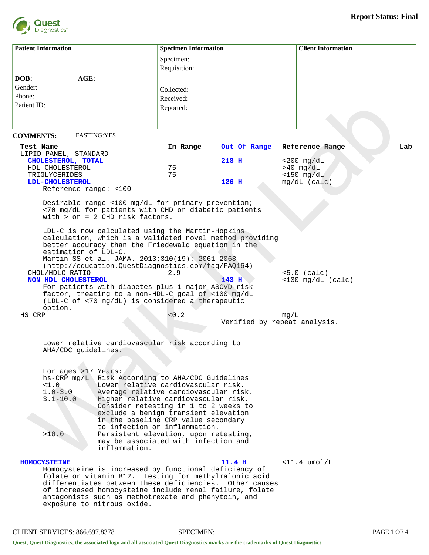

| <b>Patient Information</b>                                                                                                                                                                     |               | <b>Specimen Information</b>                                                                                                                                                                                                                                                                                                                                                                                        |                              |                                      | <b>Client Information</b> |  |
|------------------------------------------------------------------------------------------------------------------------------------------------------------------------------------------------|---------------|--------------------------------------------------------------------------------------------------------------------------------------------------------------------------------------------------------------------------------------------------------------------------------------------------------------------------------------------------------------------------------------------------------------------|------------------------------|--------------------------------------|---------------------------|--|
|                                                                                                                                                                                                |               | Specimen:                                                                                                                                                                                                                                                                                                                                                                                                          |                              |                                      |                           |  |
|                                                                                                                                                                                                |               | Requisition:                                                                                                                                                                                                                                                                                                                                                                                                       |                              |                                      |                           |  |
| AGE:<br>DOB:                                                                                                                                                                                   |               |                                                                                                                                                                                                                                                                                                                                                                                                                    |                              |                                      |                           |  |
| Gender:                                                                                                                                                                                        |               | Collected:                                                                                                                                                                                                                                                                                                                                                                                                         |                              |                                      |                           |  |
| Phone:                                                                                                                                                                                         |               | Received:                                                                                                                                                                                                                                                                                                                                                                                                          |                              |                                      |                           |  |
| Patient ID:                                                                                                                                                                                    |               | Reported:                                                                                                                                                                                                                                                                                                                                                                                                          |                              |                                      |                           |  |
|                                                                                                                                                                                                |               |                                                                                                                                                                                                                                                                                                                                                                                                                    |                              |                                      |                           |  |
|                                                                                                                                                                                                |               |                                                                                                                                                                                                                                                                                                                                                                                                                    |                              |                                      |                           |  |
| <b>FASTING:YES</b><br><b>COMMENTS:</b>                                                                                                                                                         |               |                                                                                                                                                                                                                                                                                                                                                                                                                    |                              |                                      |                           |  |
| Test Name                                                                                                                                                                                      |               | In Range                                                                                                                                                                                                                                                                                                                                                                                                           | Out Of Range                 | Reference Range                      | Lab                       |  |
| LIPID PANEL, STANDARD                                                                                                                                                                          |               |                                                                                                                                                                                                                                                                                                                                                                                                                    |                              |                                      |                           |  |
| CHOLESTEROL, TOTAL<br>HDL CHOLESTEROL                                                                                                                                                          |               | 75                                                                                                                                                                                                                                                                                                                                                                                                                 | 218 H                        | $<$ 200 mg/dL<br>$>40$ mg/dL         |                           |  |
| TRIGLYCERIDES                                                                                                                                                                                  |               | 75                                                                                                                                                                                                                                                                                                                                                                                                                 |                              | $<$ 150 mg/dL                        |                           |  |
| LDL-CHOLESTEROL                                                                                                                                                                                |               |                                                                                                                                                                                                                                                                                                                                                                                                                    | 126 H                        | $mg/dL$ (calc)                       |                           |  |
| Reference range: <100                                                                                                                                                                          |               |                                                                                                                                                                                                                                                                                                                                                                                                                    |                              |                                      |                           |  |
| with $>$ or = 2 CHD risk factors.                                                                                                                                                              |               | Desirable range <100 mg/dL for primary prevention;<br><70 mg/dL for patients with CHD or diabetic patients                                                                                                                                                                                                                                                                                                         |                              |                                      |                           |  |
| estimation of LDL-C.<br>CHOL/HDLC RATIO                                                                                                                                                        |               | LDL-C is now calculated using the Martin-Hopkins<br>calculation, which is a validated novel method providing<br>better accuracy than the Friedewald equation in the<br>Martin SS et al. JAMA. 2013;310(19): 2061-2068<br>(http://education.QuestDiagnostics.com/faq/FAQ164)<br>2.9                                                                                                                                 |                              | $<5.0$ (calc)                        |                           |  |
| NON HDL CHOLESTEROL<br>For patients with diabetes plus 1 major ASCVD risk<br>factor, treating to a non-HDL-C goal of <100 mg/dL<br>(LDL-C of <70 mg/dL) is considered a therapeutic<br>option. |               |                                                                                                                                                                                                                                                                                                                                                                                                                    | 143 H                        | $<$ 130 mg/dL (calc)                 |                           |  |
| HS CRP                                                                                                                                                                                         |               | < 0.2                                                                                                                                                                                                                                                                                                                                                                                                              |                              | mq/L                                 |                           |  |
|                                                                                                                                                                                                |               |                                                                                                                                                                                                                                                                                                                                                                                                                    | Verified by repeat analysis. |                                      |                           |  |
| AHA/CDC guidelines.                                                                                                                                                                            |               | Lower relative cardiovascular risk according to                                                                                                                                                                                                                                                                                                                                                                    |                              |                                      |                           |  |
| For ages >17 Years:<br><1.0<br>$1.0 - 3.0$<br>$3.1 - 10.0$<br>>10.0                                                                                                                            | inflammation. | hs-CRP mg/L Risk According to AHA/CDC Guidelines<br>Lower relative cardiovascular risk.<br>Average relative cardiovascular risk.<br>Higher relative cardiovascular risk.<br>Consider retesting in 1 to 2 weeks to<br>exclude a benign transient elevation<br>in the baseline CRP value secondary<br>to infection or inflammation.<br>Persistent elevation, upon retesting,<br>may be associated with infection and |                              |                                      |                           |  |
| <b>HOMOCYSTEINE</b><br>folate or vitamin B12.<br>exposure to nitrous oxide.                                                                                                                    |               | Homocysteine is increased by functional deficiency of<br>Testing for methylmalonic acid<br>differentiates between these deficiencies. Other causes<br>of increased homocysteine include renal failure, folate<br>antagonists such as methotrexate and phenytoin, and                                                                                                                                               | $11.4$ H                     | $\langle 11.4 \text{ und/L} \rangle$ |                           |  |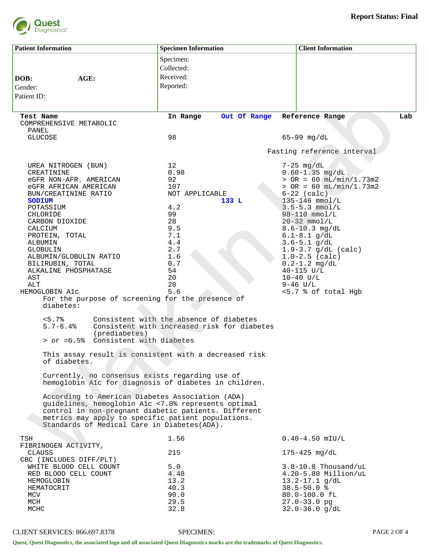

| <b>Patient Information</b>                                                                                                                                                                                                                                                                                                                                                                                 | <b>Specimen Information</b>                                                                                                                           | <b>Client Information</b>                                                                                                                                                                                                                                                                                                                                                                                     |
|------------------------------------------------------------------------------------------------------------------------------------------------------------------------------------------------------------------------------------------------------------------------------------------------------------------------------------------------------------------------------------------------------------|-------------------------------------------------------------------------------------------------------------------------------------------------------|---------------------------------------------------------------------------------------------------------------------------------------------------------------------------------------------------------------------------------------------------------------------------------------------------------------------------------------------------------------------------------------------------------------|
|                                                                                                                                                                                                                                                                                                                                                                                                            | Specimen:<br>Collected:                                                                                                                               |                                                                                                                                                                                                                                                                                                                                                                                                               |
| AGE:<br>DOB:                                                                                                                                                                                                                                                                                                                                                                                               | Received:                                                                                                                                             |                                                                                                                                                                                                                                                                                                                                                                                                               |
| Gender:                                                                                                                                                                                                                                                                                                                                                                                                    | Reported:                                                                                                                                             |                                                                                                                                                                                                                                                                                                                                                                                                               |
| Patient ID:                                                                                                                                                                                                                                                                                                                                                                                                |                                                                                                                                                       |                                                                                                                                                                                                                                                                                                                                                                                                               |
|                                                                                                                                                                                                                                                                                                                                                                                                            |                                                                                                                                                       |                                                                                                                                                                                                                                                                                                                                                                                                               |
| Test Name<br>COMPREHENSIVE METABOLIC<br>PANEL                                                                                                                                                                                                                                                                                                                                                              | Out Of Range<br>In Range                                                                                                                              | Lab<br>Reference Range                                                                                                                                                                                                                                                                                                                                                                                        |
| <b>GLUCOSE</b>                                                                                                                                                                                                                                                                                                                                                                                             | 98                                                                                                                                                    | $65 - 99$ mg/dL                                                                                                                                                                                                                                                                                                                                                                                               |
|                                                                                                                                                                                                                                                                                                                                                                                                            |                                                                                                                                                       | Fasting reference interval                                                                                                                                                                                                                                                                                                                                                                                    |
| UREA NITROGEN (BUN)<br>CREATININE<br>eGFR NON-AFR. AMERICAN<br>eGFR AFRICAN AMERICAN<br>BUN/CREATININE RATIO<br><b>SODIUM</b><br>POTASSIUM<br>CHLORIDE<br>CARBON DIOXIDE<br>CALCIUM<br>PROTEIN, TOTAL<br>ALBUMIN<br><b>GLOBULIN</b><br>ALBUMIN/GLOBULIN RATIO<br>BILIRUBIN, TOTAL<br>ALKALINE PHOSPHATASE<br>AST<br>ALT<br>HEMOGLOBIN A1c<br>For the purpose of screening for the presence of<br>diabetes: | 12 <sup>°</sup><br>0.98<br>92<br>107<br>NOT APPLICABLE<br>133 L<br>4.2<br>99<br>28<br>9.5<br>7.1<br>4.4<br>2.7<br>1.6<br>0.7<br>54<br>20<br>20<br>5.6 | $7-25$ mg/dL<br>$0.60 - 1.35$ mg/dL<br>$>$ OR = 60 mL/min/1.73m2<br>$>$ OR = 60 $mL/min/1.73m2$<br>$6-22$ (calc)<br>135-146 mmol/L<br>$3.5 - 5.3$ mmol/L<br>$98 - 110$ mmol/L<br>$20-32$ mmol/L<br>$8.6 - 10.3$ mg/dL<br>$6.1 - 8.1$ g/dL<br>$3.6 - 5.1$ g/dL<br>$1.9 - 3.7$ g/dL (calc)<br>$1.0 - 2.5$ (calc)<br>$0.2 - 1.2$ mg/dL<br>$40 - 115$ $U/L$<br>$10-40$ U/L<br>$9 - 46$ U/L<br><5.7 % of total Hgb |
| $< 5.7$ $<$<br>$5.7 - 6.4%$<br>(prediabetes)<br>> or =6.5% Consistent with diabetes                                                                                                                                                                                                                                                                                                                        | Consistent with the absence of diabetes<br>Consistent with increased risk for diabetes                                                                |                                                                                                                                                                                                                                                                                                                                                                                                               |
| This assay result is consistent with a decreased risk<br>of diabetes.                                                                                                                                                                                                                                                                                                                                      |                                                                                                                                                       |                                                                                                                                                                                                                                                                                                                                                                                                               |
| Currently, no consensus exists regarding use of<br>hemoglobin Alc for diagnosis of diabetes in children.                                                                                                                                                                                                                                                                                                   |                                                                                                                                                       |                                                                                                                                                                                                                                                                                                                                                                                                               |
| According to American Diabetes Association (ADA)<br>quidelines, hemoglobin Alc <7.0% represents optimal<br>control in non-pregnant diabetic patients. Different<br>metrics may apply to specific patient populations.<br>Standards of Medical Care in Diabetes (ADA).                                                                                                                                      |                                                                                                                                                       |                                                                                                                                                                                                                                                                                                                                                                                                               |
| TSH<br>FIBRINOGEN ACTIVITY,                                                                                                                                                                                                                                                                                                                                                                                | 1.56                                                                                                                                                  | $0.40 - 4.50$ mIU/L                                                                                                                                                                                                                                                                                                                                                                                           |
| CLAUSS<br>CBC (INCLUDES DIFF/PLT)                                                                                                                                                                                                                                                                                                                                                                          | 215                                                                                                                                                   | $175 - 425$ mg/dL                                                                                                                                                                                                                                                                                                                                                                                             |
| WHITE BLOOD CELL COUNT<br>RED BLOOD CELL COUNT<br>HEMOGLOBIN<br>HEMATOCRIT<br>MCV<br>MCH<br>MCHC                                                                                                                                                                                                                                                                                                           | 5.0<br>4.48<br>13.2<br>40.3<br>90.0<br>29.5<br>32.8                                                                                                   | $3.8 - 10.8$ Thousand/uL<br>4.20-5.80 Million/uL<br>$13.2 - 17.1$ g/dL<br>$38.5 - 50.0$ %<br>80.0-100.0 fL<br>$27.0 - 33.0$ pg<br>$32.0 - 36.0$ g/dL                                                                                                                                                                                                                                                          |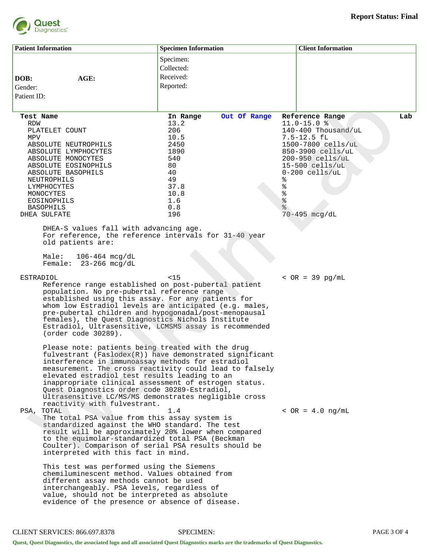

|             | <b>Patient Information</b>                                                                                                                                                                                                                                                                                                                                                                                                                                                                                                                                                                                                                                                              | <b>Specimen Information</b>                                                                                               | <b>Client Information</b>                  |
|-------------|-----------------------------------------------------------------------------------------------------------------------------------------------------------------------------------------------------------------------------------------------------------------------------------------------------------------------------------------------------------------------------------------------------------------------------------------------------------------------------------------------------------------------------------------------------------------------------------------------------------------------------------------------------------------------------------------|---------------------------------------------------------------------------------------------------------------------------|--------------------------------------------|
|             |                                                                                                                                                                                                                                                                                                                                                                                                                                                                                                                                                                                                                                                                                         | Specimen:                                                                                                                 |                                            |
|             |                                                                                                                                                                                                                                                                                                                                                                                                                                                                                                                                                                                                                                                                                         | Collected:                                                                                                                |                                            |
| DOB:        | AGE:                                                                                                                                                                                                                                                                                                                                                                                                                                                                                                                                                                                                                                                                                    | Received:                                                                                                                 |                                            |
| Gender:     |                                                                                                                                                                                                                                                                                                                                                                                                                                                                                                                                                                                                                                                                                         | Reported:                                                                                                                 |                                            |
| Patient ID: |                                                                                                                                                                                                                                                                                                                                                                                                                                                                                                                                                                                                                                                                                         |                                                                                                                           |                                            |
|             |                                                                                                                                                                                                                                                                                                                                                                                                                                                                                                                                                                                                                                                                                         |                                                                                                                           |                                            |
| Test Name   |                                                                                                                                                                                                                                                                                                                                                                                                                                                                                                                                                                                                                                                                                         | Out Of Range<br>In Range                                                                                                  | Lab<br>Reference Range                     |
| <b>RDW</b>  |                                                                                                                                                                                                                                                                                                                                                                                                                                                                                                                                                                                                                                                                                         | 13.2<br>206                                                                                                               | $11.0 - 15.0$ %<br>$140 - 400$ Thousand/uL |
| MPV         | PLATELET COUNT                                                                                                                                                                                                                                                                                                                                                                                                                                                                                                                                                                                                                                                                          | 10.5                                                                                                                      | $7.5 - 12.5$ fl                            |
|             | ABSOLUTE NEUTROPHILS                                                                                                                                                                                                                                                                                                                                                                                                                                                                                                                                                                                                                                                                    | 2450                                                                                                                      | 1500-7800 cells/uL                         |
|             | ABSOLUTE LYMPHOCYTES                                                                                                                                                                                                                                                                                                                                                                                                                                                                                                                                                                                                                                                                    | 1890                                                                                                                      | 850-3900 cells/uL                          |
|             | ABSOLUTE MONOCYTES<br>ABSOLUTE EOSINOPHILS                                                                                                                                                                                                                                                                                                                                                                                                                                                                                                                                                                                                                                              | 540<br>80                                                                                                                 | 200-950 cells/uL<br>$15-500$ cells/uL      |
|             | ABSOLUTE BASOPHILS                                                                                                                                                                                                                                                                                                                                                                                                                                                                                                                                                                                                                                                                      | 40                                                                                                                        | $0-200$ cells/uL                           |
|             | NEUTROPHILS                                                                                                                                                                                                                                                                                                                                                                                                                                                                                                                                                                                                                                                                             | 49<br>ి                                                                                                                   |                                            |
|             | LYMPHOCYTES                                                                                                                                                                                                                                                                                                                                                                                                                                                                                                                                                                                                                                                                             | 37.8<br>୫                                                                                                                 |                                            |
|             | MONOCYTES<br>EOSINOPHILS                                                                                                                                                                                                                                                                                                                                                                                                                                                                                                                                                                                                                                                                | ್ಯ<br>ಠ<br>10.8<br>$\epsilon$<br>1.6                                                                                      |                                            |
|             | <b>BASOPHILS</b>                                                                                                                                                                                                                                                                                                                                                                                                                                                                                                                                                                                                                                                                        | 0.8                                                                                                                       |                                            |
|             | DHEA SULFATE                                                                                                                                                                                                                                                                                                                                                                                                                                                                                                                                                                                                                                                                            | 196                                                                                                                       | $70 - 495$ mcg/dL                          |
|             | DHEA-S values fall with advancing age.<br>For reference, the reference intervals for 31-40 year<br>old patients are:<br>Male:<br>$106 - 464$ mcg/dL<br>Female: $23-266$ mcg/dL                                                                                                                                                                                                                                                                                                                                                                                                                                                                                                          |                                                                                                                           |                                            |
| ESTRADIOL   |                                                                                                                                                                                                                                                                                                                                                                                                                                                                                                                                                                                                                                                                                         | $15$                                                                                                                      | $~ <$ OR = 39 pg/mL                        |
|             | Reference range established on post-pubertal patient<br>population. No pre-pubertal reference range<br>established using this assay. For any patients for<br>whom low Estradiol levels are anticipated (e.g. males,<br>pre-pubertal children and hypogonadal/post-menopausal<br>females), the Quest Diagnostics Nichols Institute<br>(order code 30289).                                                                                                                                                                                                                                                                                                                                | Estradiol, Ultrasensitive, LCMSMS assay is recommended                                                                    |                                            |
|             | Please note: patients being treated with the drug<br>interference in immunoassay methods for estradiol<br>elevated estradiol test results leading to an<br>inappropriate clinical assessment of estrogen status.<br>Quest Diagnostics order code 30289-Estradiol,<br>Ultrasensitive LC/MS/MS demonstrates negligible cross<br>reactivity with fulvestrant.<br>PSA, TOTAL<br>The total PSA value from this assay system is<br>standardized against the WHO standard. The test<br>result will be approximately 20% lower when compared<br>to the equimolar-standardized total PSA (Beckman<br>Coulter). Comparison of serial PSA results should be<br>interpreted with this fact in mind. | fulvestrant (Faslodex(R)) have demonstrated significant<br>measurement. The cross reactivity could lead to falsely<br>1.4 | $~<$ OR = 4.0 ng/mL                        |
|             | This test was performed using the Siemens<br>chemiluminescent method. Values obtained from<br>different assay methods cannot be used<br>interchangeably. PSA levels, regardless of<br>value, should not be interpreted as absolute<br>evidence of the presence or absence of disease.                                                                                                                                                                                                                                                                                                                                                                                                   |                                                                                                                           |                                            |